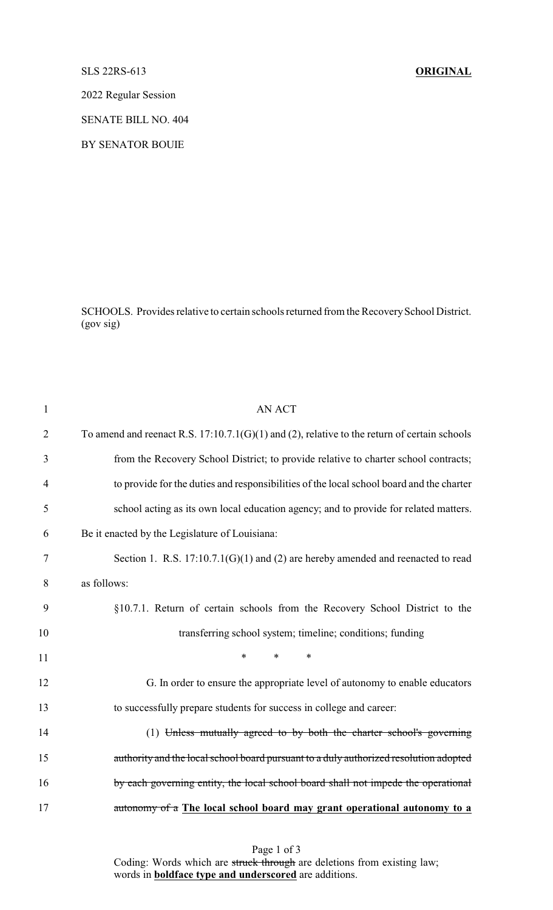## SLS 22RS-613 **ORIGINAL**

2022 Regular Session

SENATE BILL NO. 404

BY SENATOR BOUIE

SCHOOLS. Provides relative to certain schools returned from the Recovery School District. (gov sig)

| $\mathbf{1}$   | <b>AN ACT</b>                                                                                  |
|----------------|------------------------------------------------------------------------------------------------|
| $\overline{2}$ | To amend and reenact R.S. $17:10.7.1(G)(1)$ and (2), relative to the return of certain schools |
| 3              | from the Recovery School District; to provide relative to charter school contracts;            |
| $\overline{4}$ | to provide for the duties and responsibilities of the local school board and the charter       |
| 5              | school acting as its own local education agency; and to provide for related matters.           |
| 6              | Be it enacted by the Legislature of Louisiana:                                                 |
| 7              | Section 1. R.S. $17:10.7.1(G)(1)$ and (2) are hereby amended and reenacted to read             |
| 8              | as follows:                                                                                    |
| 9              | §10.7.1. Return of certain schools from the Recovery School District to the                    |
| 10             | transferring school system; timeline; conditions; funding                                      |
| 11             | $\ast$<br>$\ast$<br>$\ast$                                                                     |
| 12             | G. In order to ensure the appropriate level of autonomy to enable educators                    |
| 13             | to successfully prepare students for success in college and career:                            |
| 14             | (1) Unless mutually agreed to by both the charter school's governing                           |
| 15             | authority and the local school board pursuant to a duly authorized resolution adopted          |
| 16             | by each governing entity, the local school board shall not impede the operational              |
| 17             | autonomy of a The local school board may grant operational autonomy to a                       |
|                |                                                                                                |

Page 1 of 3 Coding: Words which are struck through are deletions from existing law; words in **boldface type and underscored** are additions.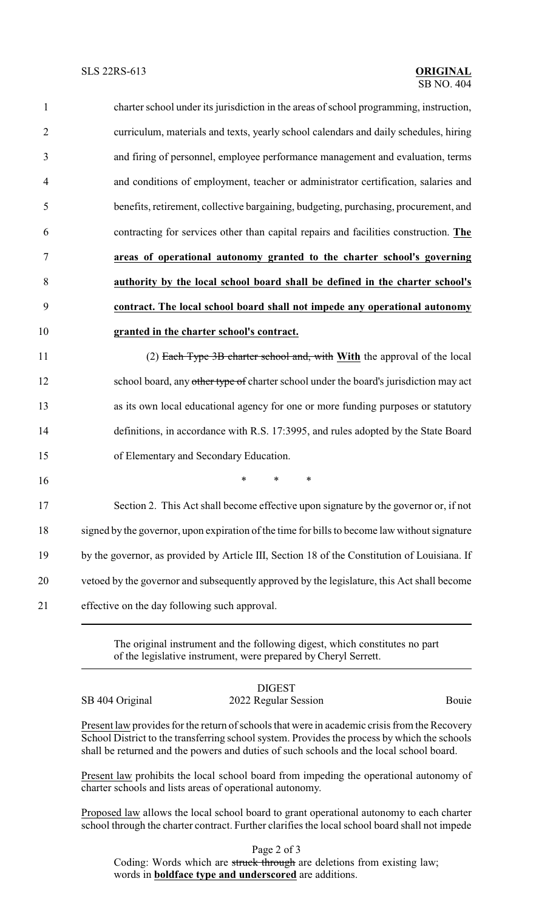| $\mathbf{1}$   | charter school under its jurisdiction in the areas of school programming, instruction, |
|----------------|----------------------------------------------------------------------------------------|
| $\overline{2}$ | curriculum, materials and texts, yearly school calendars and daily schedules, hiring   |
| 3              | and firing of personnel, employee performance management and evaluation, terms         |
| 4              | and conditions of employment, teacher or administrator certification, salaries and     |
| 5              | benefits, retirement, collective bargaining, budgeting, purchasing, procurement, and   |
| 6              | contracting for services other than capital repairs and facilities construction. The   |
| $\tau$         | areas of operational autonomy granted to the charter school's governing                |
| 8              | authority by the local school board shall be defined in the charter school's           |
| 9              | contract. The local school board shall not impede any operational autonomy             |
| 10             | granted in the charter school's contract.                                              |
| 11             | (2) Each Type 3B charter school and, with With the approval of the local               |
| 12             | school board, any other type of charter school under the board's jurisdiction may act  |
| 13             | as its own local educational agency for one or more funding purposes or statutory      |
| 14             | definitions, in accordance with R.S. 17:3995, and rules adopted by the State Board     |
| 15             | of Elementary and Secondary Education.                                                 |
| 16             | $\ast$<br>$\ast$<br>∗                                                                  |

 Section 2. This Act shall become effective upon signature by the governor or, if not signed by the governor, upon expiration of the time for bills to become law without signature by the governor, as provided by Article III, Section 18 of the Constitution of Louisiana. If vetoed by the governor and subsequently approved by the legislature, this Act shall become effective on the day following such approval.

> The original instrument and the following digest, which constitutes no part of the legislative instrument, were prepared by Cheryl Serrett.

DIGEST SB 404 Original 2022 Regular Session Bouie

Present law provides for the return of schools that were in academic crisis from the Recovery School District to the transferring school system. Provides the process by which the schools shall be returned and the powers and duties of such schools and the local school board.

Present law prohibits the local school board from impeding the operational autonomy of charter schools and lists areas of operational autonomy.

Proposed law allows the local school board to grant operational autonomy to each charter school through the charter contract. Further clarifies the local school board shall not impede

Page 2 of 3

Coding: Words which are struck through are deletions from existing law; words in **boldface type and underscored** are additions.